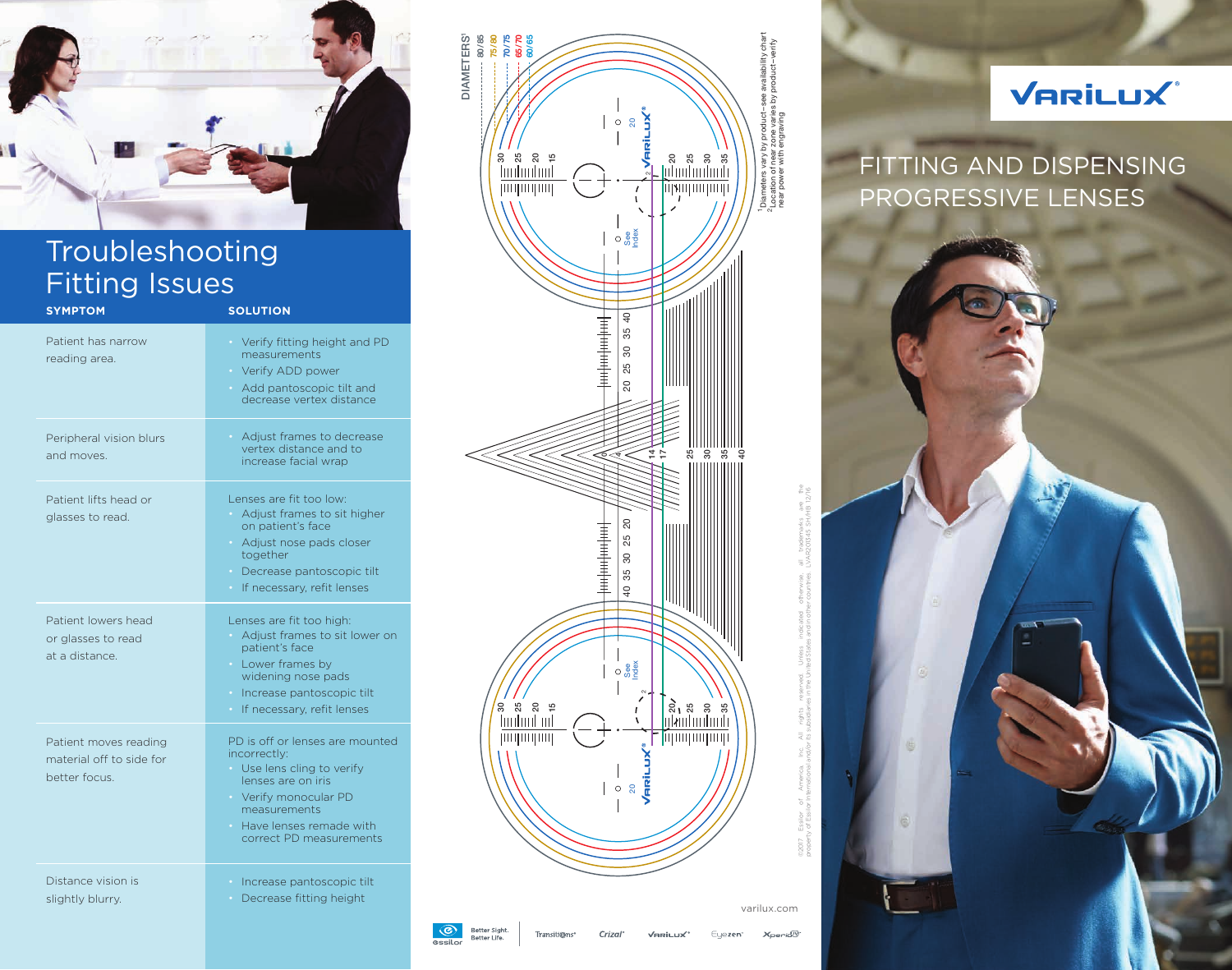

## Troubleshooting Fitting Issues

| <b>SYMPTOM</b>                                                     | <b>SOLUTION</b>                                                                                                                                                                                               |
|--------------------------------------------------------------------|---------------------------------------------------------------------------------------------------------------------------------------------------------------------------------------------------------------|
| Patient has narrow<br>reading area.                                | Verify fitting height and PD<br>measurements<br>• Verify ADD power<br>Add pantoscopic tilt and<br>$\bullet$ .<br>decrease vertex distance                                                                     |
| Peripheral vision blurs<br>and moves.                              | Adjust frames to decrease<br>$\bullet$ .<br>vertex distance and to<br>increase facial wrap                                                                                                                    |
| Patient lifts head or<br>glasses to read.                          | Lenses are fit too low:<br>Adjust frames to sit higher<br>on patient's face<br>Adjust nose pads closer<br>together<br>• Decrease pantoscopic tilt<br>· If necessary, refit lenses                             |
| Patient lowers head<br>or glasses to read<br>at a distance.        | Lenses are fit too high:<br>Adjust frames to sit lower on<br>patient's face<br>• Lower frames by<br>widening nose pads<br>Increase pantoscopic tilt<br>$\bullet$<br>If necessary, refit lenses<br>$\bullet$ . |
| Patient moves reading<br>material off to side for<br>better focus. | PD is off or lenses are mounted<br>incorrectly:<br>Use lens cling to verify<br>lenses are on iris<br>Verify monocular PD<br>measurements<br>Have lenses remade with<br>correct PD measurements                |
| Distance vision is<br>slightly blurry.                             | · Increase pantoscopic tilt<br>Decrease fitting height                                                                                                                                                        |



## VARILUX®

FITTING AND DISPENSING PROGRESSIVE LENSES